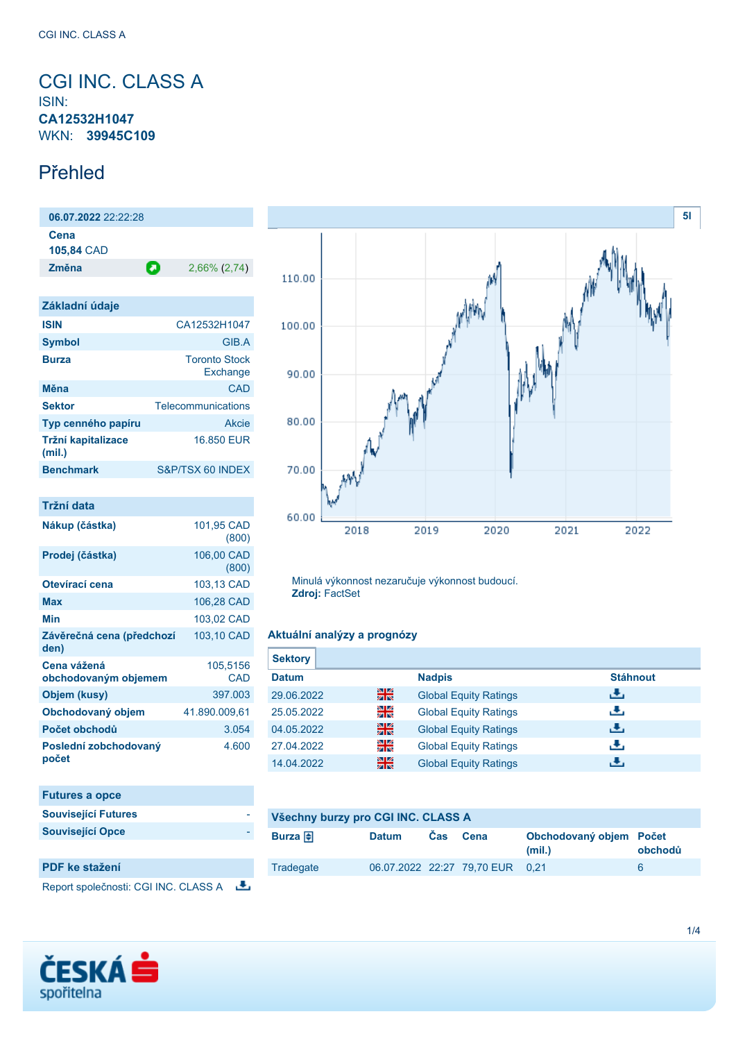## <span id="page-0-0"></span>CGI INC. CLASS A ISIN: **CA12532H1047** WKN: **39945C109**

## Přehled

**06.07.2022** 22:22:28 **Cena 105,84** CAD **Změna** 2,66% (2,74)

| Základní údaje               |                                  |
|------------------------------|----------------------------------|
| <b>ISIN</b>                  | CA12532H1047                     |
| <b>Symbol</b>                | GIB A                            |
| <b>Burza</b>                 | <b>Toronto Stock</b><br>Exchange |
| Měna                         | CAD                              |
| <b>Sektor</b>                | Telecommunications               |
| Typ cenného papíru           | Akcie                            |
| Tržní kapitalizace<br>(mil.) | 16,850 EUR                       |
| <b>Benchmark</b>             | S&P/TSX 60 INDEX                 |

| Tržní data                          |                     |
|-------------------------------------|---------------------|
| Nákup (částka)                      | 101,95 CAD<br>(800) |
| Prodej (částka)                     | 106,00 CAD<br>(800) |
| Otevírací cena                      | 103,13 CAD          |
| Max                                 | 106,28 CAD          |
| Min                                 | 103,02 CAD          |
| Závěrečná cena (předchozí<br>den)   | 103,10 CAD          |
| Cena vážená<br>obchodovaným objemem | 105,5156<br>CAD     |
| Objem (kusy)                        | 397.003             |
| Obchodovaný objem                   | 41.890.009,61       |
| Počet obchodů                       | 3.054               |
| Poslední zobchodovaný<br>počet      | 4.600               |

| <b>Futures a opce</b>      |  |
|----------------------------|--|
| <b>Související Futures</b> |  |
| <b>Související Opce</b>    |  |
|                            |  |

## **PDF ke stažení**

Report společnosti: CGI INC. CLASS A



2020

2021

2022

Minulá výkonnost nezaručuje výkonnost budoucí. **Zdroj:** FactSet

2019

### **Aktuální analýzy a prognózy**

2018

| <b>Sektory</b> |    |                              |                 |
|----------------|----|------------------------------|-----------------|
| <b>Datum</b>   |    | <b>Nadpis</b>                | <b>Stáhnout</b> |
| 29.06.2022     | 噐  | <b>Global Equity Ratings</b> | ريل             |
| 25.05.2022     | 을  | <b>Global Equity Ratings</b> | رنان            |
| 04.05.2022     | 을중 | <b>Global Equity Ratings</b> | J.              |
| 27.04.2022     | 을  | <b>Global Equity Ratings</b> | رنان            |
| 14.04.2022     | 噐  | <b>Global Equity Ratings</b> | J.              |

## **Všechny burzy pro CGI INC. CLASS A**

| Burza $\bigoplus$ | <b>Datum</b> | <b>Cas</b> | Cena                            | Obchodovaný objem Počet<br>(mil.) | obchodů |
|-------------------|--------------|------------|---------------------------------|-----------------------------------|---------|
| Tradegate         |              |            | 06.07.2022 22:27 79.70 EUR 0.21 |                                   | ĥ       |



**[5l](#page-0-0)**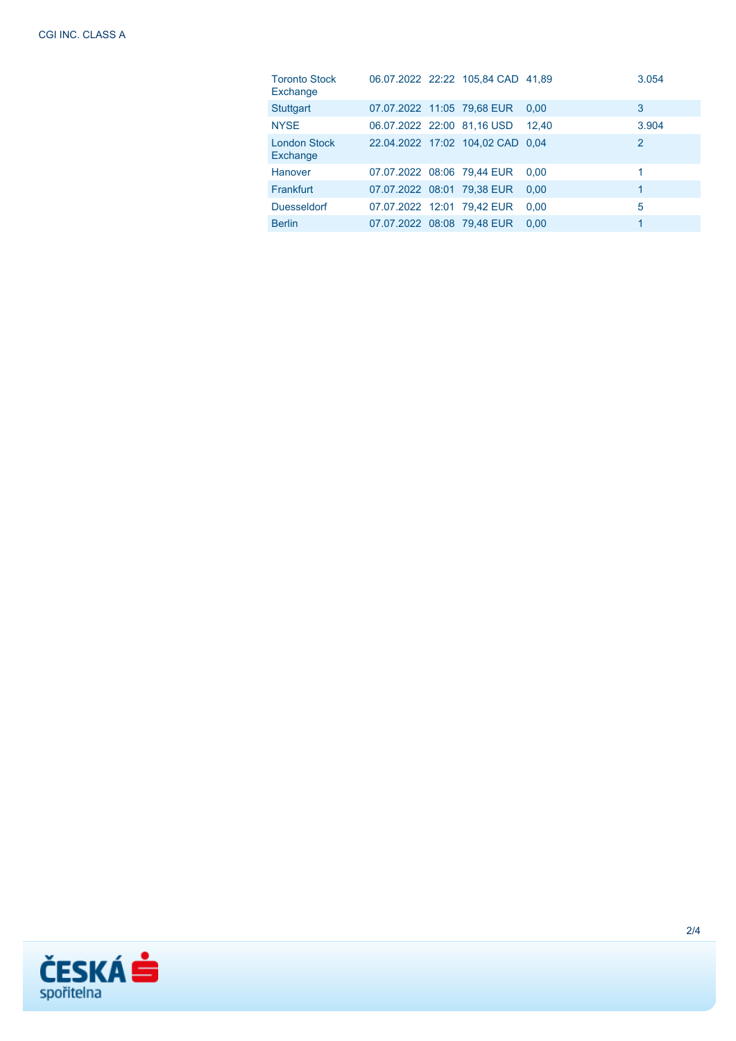| <b>Toronto Stock</b><br>Exchange |                            | 06.07.2022 22:22 105.84 CAD 41.89 |       | 3.054        |
|----------------------------------|----------------------------|-----------------------------------|-------|--------------|
| <b>Stuttgart</b>                 | 07.07.2022 11:05 79.68 EUR |                                   | 0.00  | 3            |
| <b>NYSE</b>                      | 06.07.2022 22:00 81,16 USD |                                   | 12.40 | 3.904        |
| <b>London Stock</b><br>Exchange  |                            | 22.04.2022 17:02 104,02 CAD 0.04  |       | 2            |
| <b>Hanover</b>                   |                            | 07.07.2022 08:06 79,44 EUR        | 0.00  | 1            |
| Frankfurt                        | 07.07.2022 08:01 79,38 EUR |                                   | 0.00  | $\mathbf{1}$ |
| <b>Duesseldorf</b>               | 07.07.2022 12:01 79,42 EUR |                                   | 0.00  | 5            |
| <b>Berlin</b>                    | 07.07.2022 08:08 79,48 EUR |                                   | 0.00  | 1            |

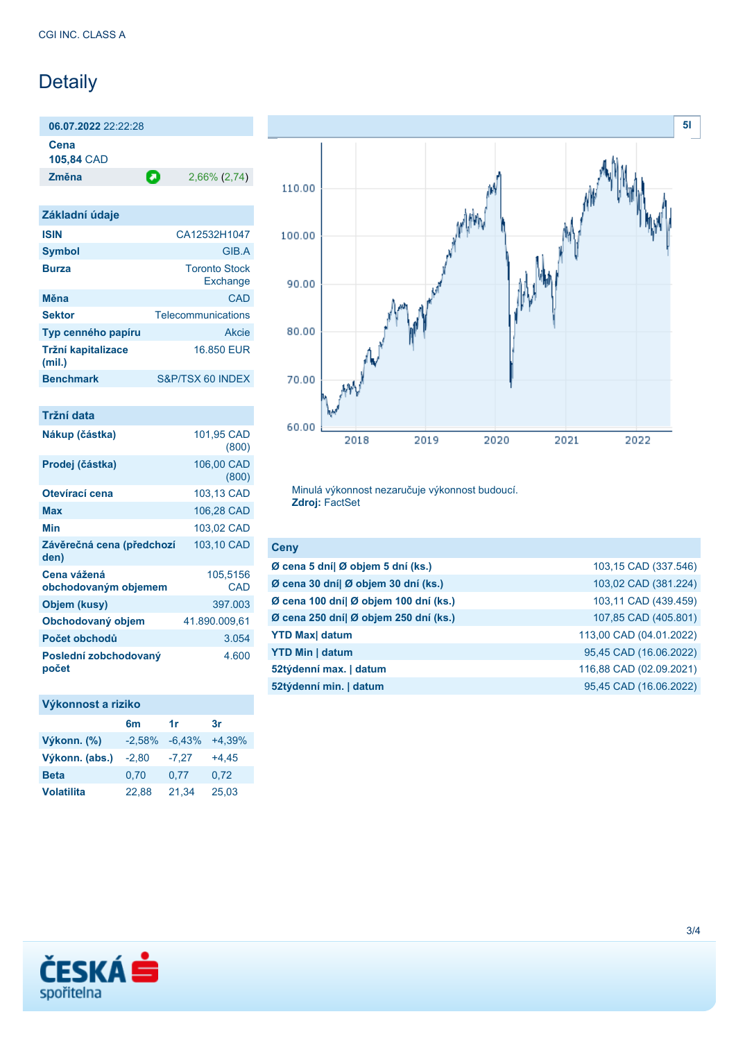# Detaily

**06.07.2022** 22:22:28

**Cena**

**105,84** CAD

**Změna** 2,66% (2,74)

| Základní údaje               |                                  |
|------------------------------|----------------------------------|
| <b>ISIN</b>                  | CA12532H1047                     |
| <b>Symbol</b>                | GIB.A                            |
| <b>Burza</b>                 | <b>Toronto Stock</b><br>Exchange |
| Měna                         | CAD                              |
| <b>Sektor</b>                | Telecommunications               |
| Typ cenného papíru           | Akcie                            |
| Tržní kapitalizace<br>(mil.) | 16,850 EUR                       |
| <b>Benchmark</b>             | S&P/TSX 60 INDEX                 |

| Tržní data                          |                     |
|-------------------------------------|---------------------|
| Nákup (částka)                      | 101,95 CAD<br>(800) |
| Prodej (částka)                     | 106,00 CAD<br>(800) |
| Otevírací cena                      | 103,13 CAD          |
| Max                                 | 106,28 CAD          |
| Min                                 | 103,02 CAD          |
| Závěrečná cena (předchozí<br>den)   | 103,10 CAD          |
| Cena vážená<br>obchodovaným objemem | 105,5156<br>CAD     |
| Objem (kusy)                        | 397.003             |
| Obchodovaný objem                   | 41.890.009,61       |
| Počet obchodů                       | 3.054               |
| Poslední zobchodovaný<br>počet      | 4.600               |

## **Výkonnost a riziko**

|                   | 6 <sub>m</sub> | 1r       | 3r       |
|-------------------|----------------|----------|----------|
| Výkonn. (%)       | $-2,58%$       | $-6.43%$ | $+4,39%$ |
| Výkonn. (abs.)    | $-2,80$        | $-7,27$  | $+4.45$  |
| <b>Beta</b>       | 0.70           | 0.77     | 0.72     |
| <b>Volatilita</b> | 22.88          | 21,34    | 25,03    |



Minulá výkonnost nezaručuje výkonnost budoucí. **Zdroj:** FactSet

| <b>Ceny</b>                           |                         |
|---------------------------------------|-------------------------|
| Ø cena 5 dní  Ø objem 5 dní (ks.)     | 103,15 CAD (337.546)    |
| Ø cena 30 dní  Ø objem 30 dní (ks.)   | 103,02 CAD (381.224)    |
| Ø cena 100 dní  Ø objem 100 dní (ks.) | 103,11 CAD (439.459)    |
| Ø cena 250 dní  Ø objem 250 dní (ks.) | 107,85 CAD (405.801)    |
| <b>YTD Max</b> datum                  | 113,00 CAD (04.01.2022) |
| <b>YTD Min   datum</b>                | 95,45 CAD (16.06.2022)  |
| 52týdenní max.   datum                | 116,88 CAD (02.09.2021) |
| 52týdenní min.   datum                | 95,45 CAD (16.06.2022)  |
|                                       |                         |